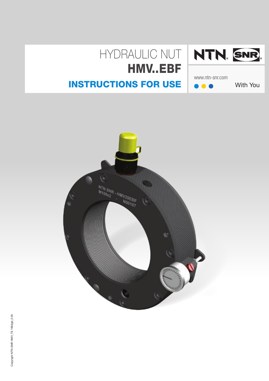# HYDRAULIC NUT | NTN. SNR. HMV..EBF INSTRUCTIONS FOR USE



www.ntn-snr.com

With You



Copyright NTN-SNR HMV\_TS 1964gb\_2.05 Copyright NTN-SNR HMV\_TS 1964gb\_2.05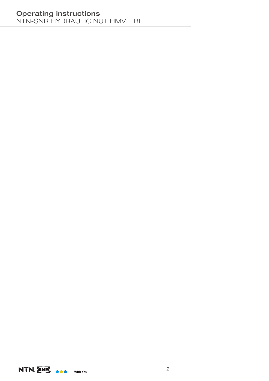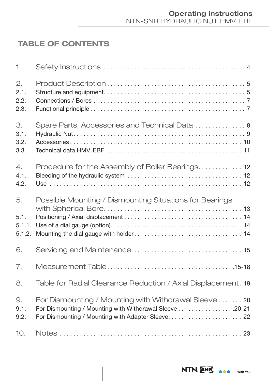# **TABLE OF CONTENTS**

| 1.                             |                                                                                                                  |
|--------------------------------|------------------------------------------------------------------------------------------------------------------|
| 2.<br>2.1.<br>2.2.<br>2.3.     |                                                                                                                  |
| З.<br>3.1.<br>3.2.<br>3.3.     | Spare Parts, Accessories and Technical Data  8                                                                   |
| 4.<br>4.1.<br>4.2.             | Procedure for the Assembly of Roller Bearings 12                                                                 |
| 5.<br>5.1.<br>5.1.1.<br>5.1.2. | Possible Mounting / Dismounting Situations for Bearings                                                          |
| 6.                             |                                                                                                                  |
| 7.                             |                                                                                                                  |
| 8.                             | Table for Radial Clearance Reduction / Axial Displacement. 19                                                    |
| 9.<br>9.1.<br>9.2.             | For Dismounting / Mounting with Withdrawal Sleeve  20<br>For Dismounting / Mounting with Withdrawal Sleeve 20-21 |
| 10.                            |                                                                                                                  |

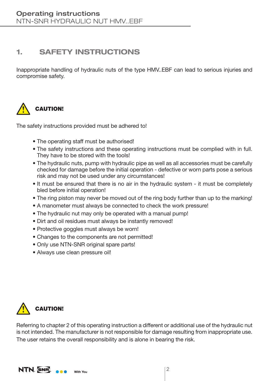## **1. SAFETY INSTRUCTIONS**

Inappropriate handling of hydraulic nuts of the type HMV..EBF can lead to serious injuries and compromise safety.



The safety instructions provided must be adhered to!

- The operating staff must be authorised!
- The safety instructions and these operating instructions must be complied with in full. They have to be stored with the tools!
- The hydraulic nuts, pump with hydraulic pipe as well as all accessories must be carefully checked for damage before the initial operation - defective or worn parts pose a serious risk and may not be used under any circumstances!
- It must be ensured that there is no air in the hydraulic system it must be completely bled before initial operation!
- The ring piston may never be moved out of the ring body further than up to the marking!
- A manometer must always be connected to check the work pressure!
- The hydraulic nut may only be operated with a manual pump!
- Dirt and oil residues must always be instantly removed!
- Protective goggles must always be worn!
- Changes to the components are not permitted!
- Only use NTN-SNR original spare parts!
- Always use clean pressure oil!



Referring to chapter 2 of this operating instruction a different or additional use of the hydraulic nut is not intended. The manufacturer is not responsible for damage resulting from inappropriate use. The user retains the overall responsibility and is alone in bearing the risk.

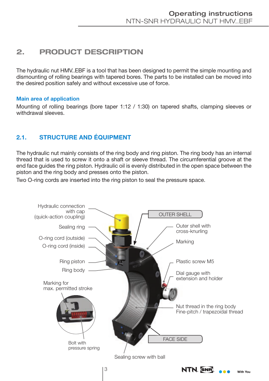## **2. PRODUCT DESCRIPTION**

The hydraulic nut HMV..EBF is a tool that has been designed to permit the simple mounting and dismounting of rolling bearings with tapered bores. The parts to be installed can be moved into the desired position safely and without excessive use of force.

#### **Main area of application**

Mounting of rolling bearings (bore taper 1:12 / 1:30) on tapered shafts, clamping sleeves or withdrawal sleeves.

## **2.1. STRUCTURE AND ÉQUIPMENT**

The hydraulic nut mainly consists of the ring body and ring piston. The ring body has an internal thread that is used to screw it onto a shaft or sleeve thread. The circumferential groove at the end face guides the ring piston. Hydraulic oil is evenly distributed in the open space between the piston and the ring body and presses onto the piston.

Two O-ring cords are inserted into the ring piston to seal the pressure space.

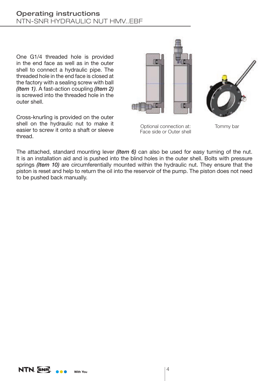One G1/4 threaded hole is provided in the end face as well as in the outer shell to connect a hydraulic pipe. The threaded hole in the end face is closed at the factory with a sealing screw with ball *(Item 1)*. A fast-action coupling *(Item 2)*  is screwed into the threaded hole in the outer shell.

Cross-knurling is provided on the outer shell on the hydraulic nut to make it easier to screw it onto a shaft or sleeve thread.





Optional connection at: Face side or Outer shell

Tommy bar

The attached, standard mounting lever *(Item 6)* can also be used for easy turning of the nut. It is an installation aid and is pushed into the blind holes in the outer shell. Bolts with pressure springs *(Item 10)* are circumferentially mounted within the hydraulic nut. They ensure that the piston is reset and help to return the oil into the reservoir of the pump. The piston does not need to be pushed back manually.

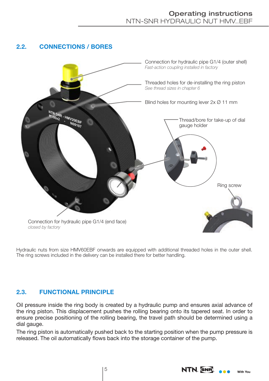## **2.2. CONNECTIONS / BORES**



Hydraulic nuts from size HMV60EBF onwards are equipped with additional threaded holes in the outer shell. The ring screws included in the delivery can be installed there for better handling.

#### **2.3. FUNCTIONAL PRINCIPLE**

Oil pressure inside the ring body is created by a hydraulic pump and ensures axial advance of the ring piston. This displacement pushes the rolling bearing onto its tapered seat. In order to ensure precise positioning of the rolling bearing, the travel path should be determined using a dial gauge.

The ring piston is automatically pushed back to the starting position when the pump pressure is released. The oil automatically flows back into the storage container of the pump.

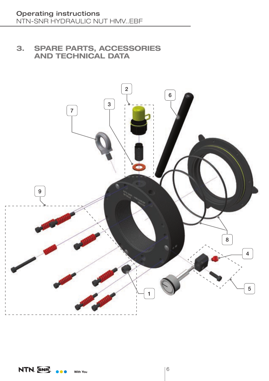## **3. SPARE PARTS, ACCESSORIES AND TECHNICAL DATA**





With You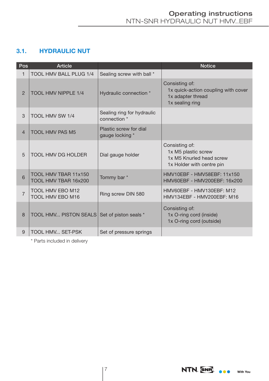## **3.1. HYDRAULIC NUT**

| Pos            | Article                                      |                                            | <b>Notice</b>                                                                                  |
|----------------|----------------------------------------------|--------------------------------------------|------------------------------------------------------------------------------------------------|
| 1              | TOOL HMV BALL PLUG 1/4                       | Sealing screw with ball *                  |                                                                                                |
| $\overline{2}$ | <b>TOOL HMV NIPPLE 1/4</b>                   | Hydraulic connection *                     | Consisting of:<br>1x quick-action coupling with cover<br>1x adapter thread<br>1x sealing ring  |
| 3              | TOOL HMV SW 1/4                              | Sealing ring for hydraulic<br>connection * |                                                                                                |
| $\overline{4}$ | <b>TOOL HMV PAS M5</b>                       | Plastic screw for dial<br>gauge locking *  |                                                                                                |
| 5              | <b>TOOL HMV DG HOLDER</b>                    | Dial gauge holder                          | Consisting of:<br>1x M5 plastic screw<br>1x M5 Knurled head screw<br>1x Holder with centre pin |
| 6              | TOOL HMV TRAR 11x150<br>TOOL HMV TBAR 16x200 | Tommy bar*                                 | HMV10FBF - HMV58FBF: 11x150<br>HMV60EBF - HMV200EBF: 16x200                                    |
| $\overline{7}$ | <b>TOOL HMV EBO M12</b><br>TOOL HMV EBO M16  | Ring screw DIN 580                         | HMV60EBF - HMV130EBF: M12<br>HMV134EBF - HMV200EBF: M16                                        |
| 8              | TOOL HMV PISTON SEALS Set of piston seals *  |                                            | Consisting of:<br>1x O-ring cord (inside)<br>1x O-ring cord (outside)                          |
| 9              | <b>TOOL HMV SET-PSK</b>                      | Set of pressure springs                    |                                                                                                |

\* Parts included in delivery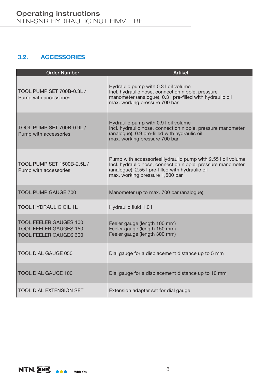## **3.2. ACCESSORIES**

| <b>Order Number</b>                                                                             | <b>Artikel</b>                                                                                                                                                                                                    |
|-------------------------------------------------------------------------------------------------|-------------------------------------------------------------------------------------------------------------------------------------------------------------------------------------------------------------------|
| TOOL PUMP SET 700B-0.3L /<br>Pump with accessories                                              | Hydraulic pump with 0.3 I oil volume<br>Incl. hydraulic hose, connection nipple, pressure<br>manometer (analogue), 0.3 I pre-filled with hydraulic oil<br>max. working pressure 700 bar                           |
| TOOL PUMP SET 700B-0.9L /<br>Pump with accessories                                              | Hydraulic pump with 0.9 I oil volume<br>Incl. hydraulic hose, connection nipple, pressure manometer<br>(analogue), 0.9 pre-filled with hydraulic oil<br>max. working pressure 700 bar                             |
| TOOL PUMP SET 1500B-2.5L /<br>Pump with accessories                                             | Pump with accessories Hydraulic pump with 2.55 I oil volume<br>Incl. hydraulic hose, connection nipple, pressure manometer<br>(analogue), 2.55 I pre-filled with hydraulic oil<br>max. working pressure 1,500 bar |
| <b>TOOL PUMP GAUGE 700</b>                                                                      | Manometer up to max. 700 bar (analogue)                                                                                                                                                                           |
| <b>TOOL HYDRAULIC OIL 1L</b>                                                                    | Hydraulic fluid 1.0 l                                                                                                                                                                                             |
| <b>TOOL FEELER GAUGES 100</b><br><b>TOOL FEELER GAUGES 150</b><br><b>TOOL FEELER GAUGES 300</b> | Feeler gauge (length 100 mm)<br>Feeler gauge (length 150 mm)<br>Feeler gauge (length 300 mm)                                                                                                                      |
| <b>TOOL DIAL GAUGE 050</b>                                                                      | Dial gauge for a displacement distance up to 5 mm                                                                                                                                                                 |
| <b>TOOL DIAL GAUGE 100</b>                                                                      | Dial gauge for a displacement distance up to 10 mm                                                                                                                                                                |
| <b>TOOL DIAL EXTENSION SET</b>                                                                  | Extension adapter set for dial gauge                                                                                                                                                                              |

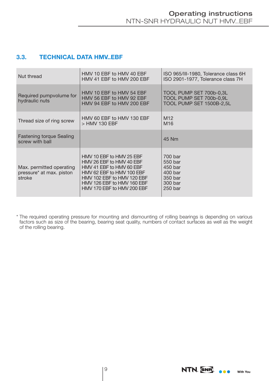## **3.2. ACCESSORIES 3.3. TECHNICAL DATA HMV..EBF**

| Nut thread                                                     | HMV 10 EBF to HMV 40 EBF<br>HMV 41 EBF to HMV 200 EBF                                                                                                                                                   | ISO 965/III-1980, Tolerance class 6H<br>ISO 2901-1977, Tolerance class 7H      |
|----------------------------------------------------------------|---------------------------------------------------------------------------------------------------------------------------------------------------------------------------------------------------------|--------------------------------------------------------------------------------|
| Required pumpvolume for<br>hydraulic nuts                      | HMV 10 EBF to HMV 54 EBF<br>HMV 56 EBF to HMV 92 EBF<br>HMV 94 EBF to HMV 200 EBF                                                                                                                       | TOOL PUMP SET 700b-0,3L<br>TOOL PUMP SET 700b-0.9L<br>TOOL PUMP SET 1500B-2,5L |
| Thread size of ring screw                                      | HMV 60 EBF to HMV 130 EBF<br>$>$ HMV 130 EBF                                                                                                                                                            | M <sub>12</sub><br>M <sub>16</sub>                                             |
| <b>Fastening torque Sealing</b><br>screw with ball             |                                                                                                                                                                                                         | 45 Nm                                                                          |
| Max. permitted operating<br>pressure* at max. piston<br>stroke | HMV 10 EBF to HMV 25 EBF<br>HMV 26 EBF to HMV 40 EBF<br>HMV 41 EBF to HMV 60 EBF<br>HMV 62 EBF to HMV 100 EBF<br>HMV 102 EBF to HMV 120 EBF<br>HMV 126 EBF to HMV 160 EBF<br>HMV 170 EBF to HMV 200 EBF | 700 bar<br>550 bar<br>450 bar<br>400 bar<br>350 bar<br>300 bar<br>250 bar      |

\* The required operating pressure for mounting and dismounting of rolling bearings is depending on various factors such as size of the bearing, bearing seat quality, numbers of contact surfaces as well as the weight of the rolling bearing.

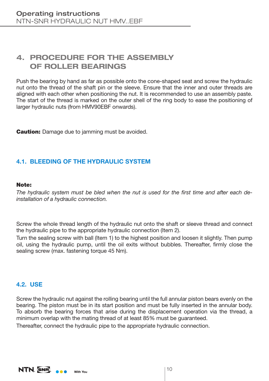# **4. PROCEDURE FOR THE ASSEMBLY OF ROLLER BEARINGS**

Push the bearing by hand as far as possible onto the cone-shaped seat and screw the hydraulic nut onto the thread of the shaft pin or the sleeve. Ensure that the inner and outer threads are aligned with each other when positioning the nut. It is recommended to use an assembly paste. The start of the thread is marked on the outer shell of the ring body to ease the positioning of larger hydraulic nuts (from HMV90EBF onwards).

**Caution:** Damage due to jamming must be avoided.

#### **4.1. BLEEDING OF THE HYDRAULIC SYSTEM**

#### Note:

*The hydraulic system must be bled when the nut is used for the first time and after each deinstallation of a hydraulic connection.* 

Screw the whole thread length of the hydraulic nut onto the shaft or sleeve thread and connect the hydraulic pipe to the appropriate hydraulic connection (Item 2).

Turn the sealing screw with ball (Item 1) to the highest position and loosen it slightly. Then pump oil, using the hydraulic pump, until the oil exits without bubbles. Thereafter, firmly close the sealing screw (max. fastening torque 45 Nm).

#### **4.2. USE**

Screw the hydraulic nut against the rolling bearing until the full annular piston bears evenly on the bearing. The piston must be in its start position and must be fully inserted in the annular body. To absorb the bearing forces that arise during the displacement operation via the thread, a minimum overlap with the mating thread of at least 85% must be guaranteed.

Thereafter, connect the hydraulic pipe to the appropriate hydraulic connection.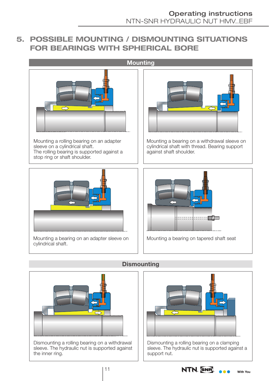# **5. POSSIBLE MOUNTING / DISMOUNTING SITUATIONS FOR BEARINGS WITH SPHERICAL BORE**







Mounting a bearing on an adapter sleeve on cylindrical shaft.



Mounting a bearing on tapered shaft seat



Dismounting a rolling bearing on a withdrawal sleeve. The hydraulic nut is supported against the inner ring.

### **Dismounting**



Dismounting a rolling bearing on a clamping sleeve. The hydraulic nut is supported against a support nut.

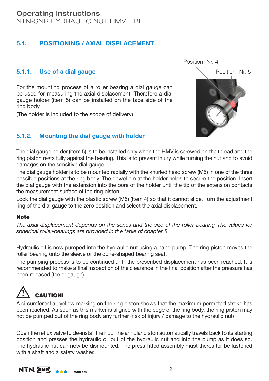## **5.1. POSITIONING / AXIAL DISPLACEMENT**

#### **5.1.1. Use of a dial gauge**

For the mounting process of a roller bearing a dial gauge can be used for measuring the axial displacement. Therefore a dial gauge holder (item 5) can be installed on the face side of the ring body.

(The holder is included to the scope of delivery)



### **5.1.2. Mounting the dial gauge with holder**

The dial gauge holder (item 5) is to be installed only when the HMV is screwed on the thread and the ring piston rests fully against the bearing. This is to prevent injury while turning the nut and to avoid damages on the sensitive dial gauge.

The dial gauge holder is to be mounted radially with the knurled head screw (M5) in one of the three possible positions at the ring body. The dowel pin at the holder helps to secure the position. Insert the dial gauge with the extension into the bore of the holder until the tip of the extension contacts the measurement surface of the ring piston.

Lock the dial gauge with the plastic screw (M5) (Item 4) so that it cannot slide. Turn the adjustment ring of the dial gauge to the zero position and select the axial displacement.

#### **Note**

*The axial displacement depends on the series and the size of the roller bearing. The values for spherical roller-bearings are provided in the table of chapter 8.*

Hydraulic oil is now pumped into the hydraulic nut using a hand pump. The ring piston moves the roller bearing onto the sleeve or the cone-shaped bearing seat.

The pumping process is to be continued until the prescribed displacement has been reached. It is recommended to make a final inspection of the clearance in the final position after the pressure has been released (feeler gauge).

# **CAUTION!**

A circumferential, yellow marking on the ring piston shows that the maximum permitted stroke has been reached. As soon as this marker is aligned with the edge of the ring body, the ring piston may not be pumped out of the ring body any further (risk of injury / damage to the hydraulic nut)

Open the reflux valve to de-install the nut. The annular piston automatically travels back to its starting position and presses the hydraulic oil out of the hydraulic nut and into the pump as it does so. The hydraulic nut can now be dismounted. The press-fitted assembly must thereafter be fastened with a shaft and a safety washer.

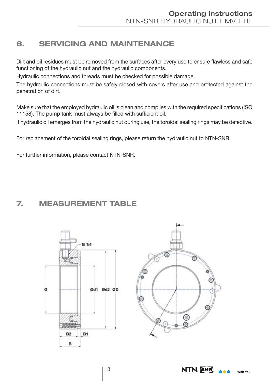# **6. SERVICING AND MAINTENANCE**

Dirt and oil residues must be removed from the surfaces after every use to ensure flawless and safe functioning of the hydraulic nut and the hydraulic components.

Hydraulic connections and threads must be checked for possible damage.

The hydraulic connections must be safely closed with covers after use and protected against the penetration of dirt.

Make sure that the employed hydraulic oil is clean and complies with the required specifications (ISO 11158). The pump tank must always be filled with sufficient oil.

If hydraulic oil emerges from the hydraulic nut during use, the toroidal sealing rings may be defective.

For replacement of the toroidal sealing rings, please return the hydraulic nut to NTN-SNR.

For further information, please contact NTN-SNR.

## **7. MEASUREMENT TABLE**

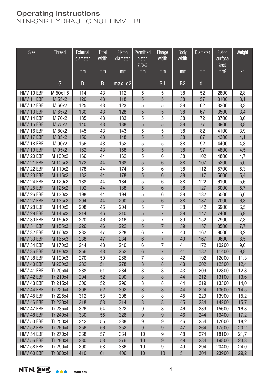| Size       | <b>Thread</b> | <b>External</b><br>diameter | Total<br>width | Piston<br>diameter | Permitted<br>piston<br>stroke | Flange<br>width  | Body<br>width  | <b>Diameter</b> | Piston<br>surface<br>area | Weight |
|------------|---------------|-----------------------------|----------------|--------------------|-------------------------------|------------------|----------------|-----------------|---------------------------|--------|
|            |               | mm                          | mm             | mm                 | mm                            | mm               | mm             | mm              | mm <sup>2</sup>           | kg     |
|            | G             | D                           | $\overline{B}$ | max. d2            |                               | B1               | B <sub>2</sub> | d1              |                           |        |
| HMV 10 EBF | M 50x1,5      | 114                         | 43             | 112                | 5                             | 5                | 38             | 52              | 2800                      | 2,8    |
| HMV 11 EBF | M 55x2        | 120                         | 43             | 118                | 5                             | 5                | 38             | 57              | 3100                      | 3,1    |
| HMV 12 EBF | M 60x2        | 125                         | 43             | 123                | 5                             | 5                | 38             | 62              | 3300                      | 3,3    |
| HMV 13 EBF | M 65x2        | 130                         | 43             | 128                | 5                             | 5                | 38             | 67              | 3500                      | 3,4    |
| HMV 14 EBF | M 70x2        | 135                         | 43             | 133                | 5                             | 5                | 38             | 72              | 3700                      | 3,6    |
| HMV 15 EBF | M 75x2        | 140                         | 43             | 138                | $\overline{5}$                | 5                | 38             | 77              | 3900                      | 3,8    |
| HMV 16 EBF | M 80x2        | 145                         | 43             | 143                | 5                             | 5                | 38             | 82              | 4100                      | 3,9    |
| HMV 17 EBF | M 85x2        | 150                         | 43             | 148                | 5                             | 5                | 38             | 87              | 4300                      | 4,1    |
| HMV 18 EBF | M 90x2        | 156                         | 43             | 152                | 5                             | 5                | 38             | 92              | 4400                      | 4,3    |
| HMV 19 EBF | M 95x2        | 162                         | 43             | 158                | $\overline{5}$                | 5                | 38             | 97              | 4800                      | 4,5    |
| HMV 20 EBF | M 100x2       | 166                         | 44             | 162                | 5                             | 6                | 38             | 102             | 4800                      | 4,7    |
| HMV 21 EBF | M 105x2       | 172                         | 44             | 168                | $\overline{5}$                | $\boldsymbol{6}$ | 38             | 107             | 5200                      | 5,0    |
| HMV 22 EBF | M 110x2       | 178                         | 44             | 174                | 5                             | 6                | 38             | 112             | 5700                      | 5,3    |
| HMV 23 EBF | M 115x2       | 182                         | 44             | 178                | $\overline{5}$                | $6\phantom{1}$   | 38             | 117             | 5600                      | 5,4    |
| HMV 24 EBF | M 120x2       | 188                         | 44             | 184                | 5                             | 6                | 38             | 122             | 6100                      | 5,6    |
| HMV 25 EBF | M 125x2       | 192                         | 44             | 188                | 5                             | $6\phantom{1}$   | 38             | 127             | 6000                      | 5,7    |
| HMV 26 EBF | M 130x2       | 198                         | 44             | 194                | 5                             | 6                | 38             | 132             | 6500                      | 6,0    |
| HMV 27 EBF | M 135x2       | 204                         | 44             | 200                | 5                             | $6\phantom{1}$   | 38             | 137             | 7000                      | 6,3    |
| HMV 28 EBF | M 140x2       | 208                         | 45             | 204                | 5                             | $\overline{7}$   | 38             | 142             | 6900                      | 6,5    |
| HMV 29 EBF | M 145x2       | 214                         | 46             | 210                | 5                             | $\overline{7}$   | 39             | 147             | 7400                      | 6,9    |
| HMV 30 EBF | M 150x2       | 220                         | 46             | 216                | 5                             | $\overline{7}$   | 39             | 152             | 7900                      | 7,3    |
| HMV 31 EBF | M 155x3       | 226                         | 46             | 222                | 5                             | $\overline{7}$   | 39             | 157             | 8500                      | 7,7    |
| HMV 32 EBF | M 160x3       | 232                         | 47             | 228                | 6                             | $\overline{7}$   | 40             | 162             | 9000                      | 8,2    |
| HMV 33 EBF | M 165x3       | 238                         | 47             | 234                | $6\phantom{1}6$               | $\overline{7}$   | 40             | 167             | 9600                      | 8,5    |
| HMV 34 EBF | M 170x3       | 244                         | 48             | 240                | 6                             | $\overline{7}$   | 41             | 172             | 10200                     | 9,0    |
| HMV 36 EBF | M 180x3       | 256                         | 48             | 252                | $6\phantom{1}6$               | $\overline{7}$   | 41             | 182             | 11400                     | 9,8    |
| HMV 38 EBF | M 190x3       | 270                         | 50             | 266                | $\overline{7}$                | 8                | 42             | 192             | 12000                     | 11,3   |
| HMV 40 EBF | M 200x3       | 282                         | 51             | 278                | 8                             | 8                | 43             | 202             | 12500                     | 12,4   |
| HMV 41 EBF | Tr 205x4      | 288                         | 51             | 284                | 8                             | 8                | 43             | 209             | 12800                     | 12,8   |
| HMV 42 EBF | Tr 210x4      | 294                         | 52             | 290                | 8                             | 8                | 44             | 212             | 13100                     | 13,6   |
| HMV 43 EBF | Tr 215x4      | 300                         | 52             | 296                | 8                             | 8                | 44             | 219             | 13300                     | 14,0   |
| HMV 44 EBF | Tr 220x4      | 306                         | 52             | 302                | 8                             | 8                | 44             | 224             | 13600                     | 14,5   |
| HMV 45 EBF | Tr 225x4      | 312                         | 53             | 308                | 8                             | 8                | 45             | 229             | 13900                     | 15,2   |
| HMV 46 EBF | Tr 230x4      | 318                         | 53             | 314                | 8                             | 8                | 45             | 234             | 14200                     | 15,7   |
| HMV 47 EBF | Tr 235x4      | 326                         | 54             | 322                | 9                             | 8                | 46             | 239             | 15600                     | 16,8   |
| HMV 48 EBF | Tr 240x4      | 330                         | 55             | 326                | 9                             | 9                | 46             | 244             | 16400                     | 17,2   |
| HMV 50 EBF | Tr 250x4      | 342                         | 55             | 338                | 9                             | 9                | 46             | 254             | 17000                     | 18,2   |
| HMV 52 EBF | Tr 260x4      | 356                         | 56             | 352                | 9                             | 9                | 47             | 264             | 17500                     | 20,2   |
| HMV 54 EBF | Tr 270x4      | 368                         | 57             | 364                | 10                            | 9                | 48             | 274             | 18100                     | 21,7   |
| HMV 56 EBF | Tr 280x4      | 380                         | 58             | 376                | 10                            | 9                | 49             | 284             | 19800                     | 23,3   |
| HMV 58 EBF | Tr 290x4      | 390                         | 58             | 386                | 10                            | 9                | 49             | 294             | 20400                     | 24,0   |
| HMV 60 EBF | Tr 300x4      | 410                         | 61             | 406                | 10                            | 10               | 51             | 304             | 23900                     | 29,2   |

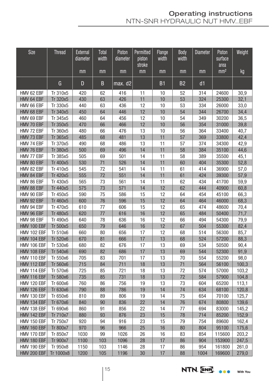| Size                     | <b>Thread</b>        | External<br>diameter | Total<br>width | Piston<br>diameter | Permitted<br>piston<br>stroke | Flange<br>width | Body<br>width  | <b>Diameter</b> | Piston<br>surface<br>area | Weight       |
|--------------------------|----------------------|----------------------|----------------|--------------------|-------------------------------|-----------------|----------------|-----------------|---------------------------|--------------|
|                          |                      | mm                   | mm             | mm                 | mm                            | mm              | mm             | mm              | mm <sup>2</sup>           | kg           |
|                          | ${\mathsf G}$        | D                    | $\mathsf B$    | max. d2            |                               | <b>B1</b>       | B <sub>2</sub> | d1              |                           |              |
| HMV 62 EBF               | Tr 310x5             | 420                  | 62             | 416                | 11                            | 10              | 52             | 314             | 24600                     | 30,9         |
| HMV 64 EBF               | Tr 320x5             | 430                  | 63             | 426                | 11                            | 10              | 53             | 324             | 25300                     | 32,1         |
| HMV 66 EBF               | Tr 330x5             | 440                  | 63             | 436                | 12                            | 10              | 53             | 334             | 26000                     | 33,0         |
| HMV 68 EBF               | Tr 340x5             | 450                  | 64             | 446                | 12                            | 10              | 54             | 344             | 26700                     | 34,4         |
| HMV 69 EBF               | Tr 345x5             | 460                  | 64             | 456                | 12                            | 10              | 54             | 349             | 30200                     | 36,5         |
| HMV 70 EBF               | Tr 350x5             | 470                  | 66             | 466                | 12                            | 10              | 56             | 354             | 31000                     | 39,8         |
| HMV 72 EBF               | Tr 360x5             | 480                  | 66             | 476                | 13                            | 10              | 56             | 364             | 33400                     | 40,7         |
| HMV 73 EBF               | Tr 365x5             | 485                  | 68             | 481                | 13                            | 11              | 57             | 369             | 33800                     | 42,4         |
| HMV 74 EBF               | Tr 370x5             | 490                  | 68             | 486                | 13                            | 11              | 57             | 374             | 34300                     | 42,9         |
| HMV 76 EBF               | Tr 380x5             | 500                  | 69             | 496                | 14                            | 11              | 58             | 384             | 35100                     | 44,6         |
| HMV 77 EBF               | Tr 385x5             | 505                  | 69             | 501                | 14                            | 11              | 58             | 389             | 35500                     | 45,1         |
| HMV 80 EBF               | Tr 400x5             | 530                  | 71             | 526                | 14                            | 11              | 60             | 404<br>414      | 35300                     | 52,8<br>57,0 |
| HMV 82 EBF<br>HMV 84 EBF | Tr 410x5<br>Tr 420x5 | 545<br>555           | 72<br>72       | 541<br>551         | 14<br>14                      | 11<br>11        | 61<br>61       | 424             | 36900<br>39300            | 57,9         |
| HMV 86 EBF               | Tr 430x5             | 565                  | 73             | 561                | 14                            | 11              | 62             | 434             | 41700                     | 59,9         |
| HMV 88 EBF               | Tr 440x5             | 575                  | 73             | 571                | 14                            | 12              | 62             | 444             | 40900                     | 60,8         |
| HMV 90 EBF               | Tr 450x5             | 590                  | 75             | 586                | 15                            | 12              | 64             | 454             | 45100                     | 66,3         |
| HMV 92 EBF               | Tr 460x5             | 600                  | 76             | 596                | 15                            | 12              | 64             | 464             | 46000                     | 68,3         |
| HMV 94 EBF               | Tr 470x5             | 610                  | 77             | 606                | 15                            | 12              | 65             | 474             | 48600                     | 70,4         |
| HMV 96 EBF               | Tr 480x5             | 620                  | 77             | 616                | 16                            | 12              | 65             | 484             | 50400                     | 71,7         |
| HMV 98 EBF               | Tr 490x5             | 640                  | 78             | 636                | 16                            | 12              | 66             | 494             | 54300                     | 79,9         |
| <b>HMV 100 EBF</b>       | Tr 500x5             | 650                  | 79             | 646                | 16                            | 12              | 67             | 504             | 55300                     | 82,4         |
| <b>HMV 102 EBF</b>       | Tr 510x6             | 660                  | 80             | 656                | 17                            | 12              | 68             | 514             | 56300                     | 85,7         |
| HMV 104 EBF              | Tr 520x6             | 670                  | 81             | 666                | 17                            | 13              | 68             | 524             | 57200                     | 88,3         |
| <b>HMV 106 EBF</b>       | Tr 530x6             | 680                  | 82             | 676                | 17                            | 13              | 69             | 534             | 50500                     | 90,4         |
| <b>HMV 108 EBF</b>       | Tr 540x6             | 690                  | 82             | 686                | 17                            | 13              | 69             | 544             | 52300                     | 91,9         |
| HMV 110 EBF              | Tr 550x6             | 705                  | 83             | 701                | 17                            | 13              | 70             | 554             | 55200                     | 98,0         |
| HMV 112 EBF              | Tr 560x6             | 715                  | 84             | 711                | 18                            | 13              | 71             | 564             | 56100                     | 100,3        |
| HMV 114 EBF              | Tr 570x6             | 725                  | 85             | 721                | 18                            | 13              | 72             | 574             | 57000                     | 103,2        |
| <b>HMV 116 EBF</b>       | Tr 580x6             | 735                  | 85             | 731                | 18                            | 13              | 72             | 584             | 57900                     | 104,8        |
| HMV 120 EBF              | Tr 600x6             | 760                  | 86             | 756                | 19                            | 13              | 73             | 604             | 65200                     | 113,1        |
| <b>HMV 126 EBF</b>       | Tr 630x6             | 790                  | 88             | 786                | 19                            | 14              | 74             | 634             | 68100                     | 120,8        |
| HMV 130 EBF              | Tr 650x6             | 810                  | 89             | 806                | 19                            | 14              | 75             | 654             | 70100                     | 125,7        |
| HMV 134 EBF              | Tr 670x6             | 840                  | 90             | 836                | 22                            | 14              | 76             | 674             | 80800                     | 139,6        |
| HMV 138 EBF              | Tr 690x6             | 860                  | 91             | 856                | 22                            | 14              | 77             | 694             | 83000                     | 145,2        |
| <b>HMV 142 EBF</b>       | Tr 710x7             | 880                  | 93             | 876                | 23                            | 15              | 78             | 714             | 85200                     | 152,9        |
| <b>HMV 150 EBF</b>       | Tr 750x7             | 920                  | 94             | 916                | 23                            | 15              | 79             | 754             | 89600                     | 162,4        |
| HMV 160 EBF              | Tr 800x7             | 970                  | 96             | 966                | 25                            | 16              | 80             | 804             | 95100                     | 175,6        |
| HMV 170 EBF              | Tr 850x7             | 1030                 | 99             | 1026               | 26                            | 16              | 83             | 854             | 115600                    | 203,2        |
| <b>HMV 180 EBF</b>       | Tr 900x7             | 1100                 | 103            | 1096               | 28                            | 17              | 86             | 904             | 153900                    | 247,5        |
| HMV 190 EBF              | Tr 950x8             | 1150                 | 103            | 1146               | 28                            | 17              | 86             | 954             | 161800                    | 261,0        |
| <b>HMV 200 EBF</b>       | Tr 1000x8            | 1200                 | 105            | 1196               | 30                            | 17              | 88             | 1004            | 169600                    | 279,0        |

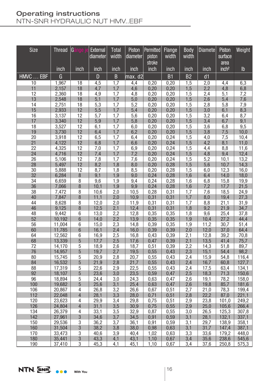## Operating instructions NTN-SNR HYDRAULIC NUT HMV..EBF

| Size      | <b>Thread</b>    | G              | External     | Total      | Piston       | Permitted    | Flange       | Body           | <b>Diamete</b> | Piston            | Weight       |
|-----------|------------------|----------------|--------------|------------|--------------|--------------|--------------|----------------|----------------|-------------------|--------------|
|           |                  |                | diameter     | width      | diameter     | piston       | width        | width          |                | surface           |              |
|           |                  |                |              |            |              | stroke       |              |                |                | area              |              |
|           | inch             | inch           | inch         | inch       | inch         | inch         | inch         | inch           | inch           | inch <sup>2</sup> | Ib           |
| HMVC  EBF | $\overline{G}$   |                | D            | $\sf{B}$   | max. d2      |              | B1           | B <sub>2</sub> | d1             |                   |              |
| 10        | 1,967            | 18             | 4,5          | 1,7        | 4,4          | 0,20         | 0,20         | 1,5            | 2,0            | 4,4               | 6,3          |
| 11        | 2,157            | 18             | 4,7          | 1,7        | 4,6          | 0,20         | 0,20         | 1,5            | 2,2            | 4,8               | 6,8          |
| 12        | 2,360            | 18             | 4,9          | 1,7        | 4,8          | 0,20         | 0,20         | 1,5            | 2,4            | 5,1               | 7,2          |
| 13        | 2,548            | 18             | 5,1          | 1,7        | 5,0          | 0,20         | 0,20         | 1,5            | 2,6            | 5,4               | 7,6          |
| 14        | 2,751            | 18             | 5,3          | 1,7        | 5,2          | 0,20         | 0,20         | 1,5            | 2,8            | 5,8               | 7,9          |
| 15        | 2,933            | 12             | 5,5          | 1,7        | 5,4          | 0,20         | 0,20         | 1,5            | 3,0            | 6,1               | 8,3          |
| 16<br>17  | 3,137<br>3,340   | 12<br>12       | 5,7          | 1,7<br>1,7 | 5,6          | 0,20         | 0,20         | 1,5            | 3,2            | 6,4               | 8,7<br>9,1   |
| 18        | 3,527            | 12             | 5,9<br>6,1   | 1,7        | 5,8<br>6,0   | 0,20<br>0,20 | 0,20<br>0,20 | 1,5<br>1,5     | 3,4<br>3,6     | 6,7<br>6,8        | 9,5          |
| 19        | 3,730            | 12             | 6,4          | 1,7        | 6,2          | 0,20         | 0,20         | 1,5            | 3,8            | 7,5               | 10,0         |
| 20        | 3,918            | 12             | 6,5          | 1,7        | 6,4          | 0,20         | 0,24         | 1,5            | 4,0            | 7,5               | 10,4         |
| 21        | 4,122            | 12             | 6,8          | 1,7        | 6,6          | 0,20         | 0,24         | 1,5            | 4,2            | 8,1               | 11,0         |
| 22        | 4,325            | 12             | 7,0          | 1,7        | 6,9          | 0,20         | 0,24         | 1,5            | 4,4            | 8,8               | 11,6         |
| 24        | 4.716            | 12             | 7,4          | 1,7        | 7,2          | 0,20         | 0,24         | 1,5            | 4,8            | 9,4               | 12,4         |
| 26        | 5,106            | 12             | 7,8          | 1,7        | 7,6          | 0,20         | 0,24         | 1,5            | 5,2            | 10,1              | 13,2         |
| 28        | 5,497            | 12             | 8,2          | 1,8        | 8,0          | 0,20         | 0,28         | 1,5            | 5,6            | 10,7              | 14,3         |
| 30        | 5,888            | 12             | 8,7          | 1,8        | 8,5          | 0,20         | 0,28         | 1,5            | 6,0            | 12,3              | 16,0         |
| 32        | 6,284            | 8              | 9,1          | 1,9        | 9,0          | 0,24         | 0,28         | 1,6            | 6,4            | 14,0              | 18,0         |
| 34        | 6,659            | 8              | 9,6          | 1,9        | 9,4          | 0,24         | 0,28         | 1,6            | 6,8            | 15,8              | 19,9         |
| 36        | 7,066            | 8              | 10,1         | 1,9        | 9,9          | 0,24         | 0,28         | 1,6            | 7,2            | 17,7              | 21,5         |
| 38        | 7,472            | 8              | 10,6         | 2,0        | 10,5         | 0,28         | 0,31         | 1,7            | 7,6            | 18,5              | 24,9         |
| 40        | 7.847            | 8              | 11.1         | 2,0        | 10,9         | 0,31         | 0,31         | 1,7            | 8,0            | 19,4              | 27,3         |
| 44        | 8,628            | 8              | 12,0         | 2,0        | 11,9         | 0,31         | 0,31         | 1,7            | 8,8            | 21,1              | 31,9         |
| 46        | 9,125            | 8              | 12,5         | 2,1        | 12,4         | 0,31         | 0,31         | 1,8            | 9,2            | 21,9              | 34,7         |
| 48        | 9.442            | 6              | 13,0         | 2,2        | 12,8         | 0,35         | 0,35         | 1,8            | 9,6            | 25,4              | 37,8         |
| 52        | 10,192           | $6\phantom{1}$ | 14,0         | 2,2        | 13,9         | 0,35         | 0,35         | 1,9            | 10,4           | 27,2              | 44,4         |
| 56        | 11,004           | 6              | 15,0         | 2,3        | 14,8         | 0,39         | 0,35         | 1,9            | 11,2           | 30,7              | 51,4         |
| 60        | 11,785           | 6              | 16,1         | 2,4        | 16,0         | 0,39         | 0,39         | 2,0            | 12,0           | 37,0              | 64,4         |
| 64<br>68  | 12,562<br>13,339 | 6              | 16,9<br>17,7 | 2,5<br>2,5 | 16,8<br>17,6 | 0,43<br>0,47 | 0,39<br>0,39 | 2,1<br>2,1     | 12,8<br>13,5   | 39,2<br>41,4      | 70,8<br>75,7 |
| 72        | 14,170           | 5<br>5         | 18,9         | 2,6        | 18,7         | 0,51         | 0,39         | 2,2            | 14,3           | 51,8              | 89,7         |
| 76        | 14,957           | 5              | 19,7         | 2,7        | 19,5         | 0,55         | 0,43         | 2,3            | 15,1           | 54,4              | 98,2         |
| 80        | 15,745           | 5              | 20,9         | 2,8        | 20,7         | 0,55         | 0,43         | 2,4            | 15,9           | 54,8              | 116,4        |
| 84        | 16,532           | 5              | 21,9         | 2,8        | 21,7         | 0,55         | 0,43         | 2,4            | 16,7           | 60,8              | 127,7        |
| 88        | 17,319           | 5              | 22,6         | 2,9        | 22,5         | 0,55         | 0,43         | 2,4            | 17,5           | 63,4              | 134,1        |
| 92        | 18,107           | 5              | 23,6         | 3,0        | 23,5         | 0,59         | 0,47         | 2,5            | 18,3           | 71,3              | 150,6        |
| 96        | 18,894           | 5              | 24,4         | 3,0        | 24,3         | 0,63         | 0,47         | 2,6            | 19,1           | 78,2              | 158,0        |
| 100       | 19.682           | 5              | 25.6         | 3,1        | 25,4         | 0,63         | 0,47         | 2,6            | 19.8           | 85.7              | 181.6        |
| 106       | 20,867           | 4              | 26,8         | 3,2        | 26,6         | 0,67         | 0,51         | 2,7            | 21,0           | 78,3              | 199,4        |
| 112       | 22,048           | $\overline{4}$ | 28,1         | 3,3        | 28,0         | 0,71         | 0,51         | 2,8            | 22,2           | 87,0              | 221,1        |
| 120       | 23,623           | 4              | 29,9         | 3,4        | 29,8         | 0,75         | 0,51         | 2,9            | 23,8           | 101,0             | 249,2        |
| 126       | 24,804           | 4              | 31,1         | 3,5        | 30,9         | 0,75         | 0,55         | 2,9            | 25,0           | 105,6             | 266,4        |
| 134       | 26,379           | 4              | 33,1         | 3,5        | 32,9         | 0,87         | 0,55         | 3,0            | 26,5           | 125,3             | 307,8        |
| 142       | 27,961           | 3              | 34,6         | 3,7        | 34,5         | 0,91         | 0,59         | 3,1            | 28,1           | 132,1             | 337,1        |
| 150       | 29,536           | 3              | 36,2         | 3,7        | 36,1         | 0,91         | 0,59         | 3,1            | 29,7           | 138,9             | 358,1        |
| 160       | 31,504           | 3              | 38,2         | 3,8        | 38,0         | 0,98         | 0,63         | 3,1            | 31,7           | 147,4             | 387,1        |
| 170       | 33,473           | 3              | 40,6         | 3,9        | 40,4         | 1,02         | 0,63         | 3,3            | 33,6           | 179,2             | 448,0        |
| 180       | 35,441           | 3              | 43,3         | 4,1        | 43,1         | 1,10         | 0,67         | 3,4            | 35,6           | 238,6             | 545,6        |
| 190       | 37,410           | 3              | 45,3         | 4,1        | 45,1         | 1,10         | 0,67         | 3,4            | 37,6           | 250,8             | 575,3        |

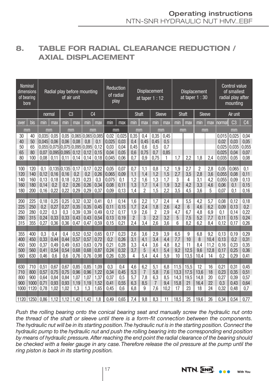# **8. TABLE FOR RADIAL CLEARANCE REDUCTION / AXIAL DISPLACEMENT**

|            | Nominal<br>dimensions<br>of bearing<br>bore | Radial play before mounting<br>of air unit |                               |              |                |                   | Reduction<br><b>Displacement</b><br>of radial<br>at taper $1:12$<br>play |               |              |                |                        | <b>Displacement</b><br>at taper $1:30$ |            |            |                       | <b>Control value</b><br>of smallest<br>radial play after<br>mounting |              |                |                |                |
|------------|---------------------------------------------|--------------------------------------------|-------------------------------|--------------|----------------|-------------------|--------------------------------------------------------------------------|---------------|--------------|----------------|------------------------|----------------------------------------|------------|------------|-----------------------|----------------------------------------------------------------------|--------------|----------------|----------------|----------------|
|            |                                             | normal                                     |                               |              | C <sub>3</sub> | C <sub>4</sub>    |                                                                          |               | <b>Shaft</b> |                | Shaft<br><b>Sleeve</b> |                                        | Sleeve     |            |                       | Air unit                                                             |              |                |                |                |
| over       | bis                                         | min                                        | max                           | min          | max            | min               | max                                                                      | min           | max          | min            | max                    | min                                    | max        | min        | max                   | min                                                                  | max          | normal         | C <sub>3</sub> | C <sub>4</sub> |
|            | mm                                          | mm                                         |                               | mm           |                | mm                |                                                                          | mm            |              | mm             |                        | mm                                     |            |            | mm                    | mm                                                                   |              |                | mm             |                |
| 30         | 40                                          | 0.035                                      | 0.05                          | 0.05         |                | 0.065 0.065 0.085 |                                                                          | 0.02          | 0.025        | 0,35           | 0.4                    | 0,35                                   | 0.45       |            |                       |                                                                      |              | 0.015          | 0,025          | 0,04           |
| 40         | 50                                          | 0.045                                      | 0.06                          | 0.06         | 0,08           | 0.8               | 0.1                                                                      | 0,025         | 0.03         | 0,4            | 0,45                   | 0,45                                   | 0,5        |            |                       |                                                                      |              | 0.02           | 0.03           | 0.05           |
| 50         | 65                                          |                                            | 0.055 0.075 0.075 0.095 0.095 |              |                |                   | 0.12                                                                     | 0.03          | 0.04         | 0.45           | 0.6                    | 0.5                                    | 0.7        |            |                       |                                                                      |              | 0.025          | 0.035          | 0.055          |
| 65<br>80   | 80<br>100                                   | 0.07<br>0.08                               | 0.095 0.095<br>0,11           | 0.11         | 0.12<br>0.14   | 0.12<br>0,14      | 0,15<br>0,18                                                             | 0.04<br>0,045 | 0,05<br>0.06 | 0,6<br>0.7     | 0.75<br>0.9            | 0,7<br>0,75                            | 0,85<br>1  | 1,7        | 2,2                   | 1,8                                                                  | 2,4          | 0.025<br>0.035 | 0.04<br>0.05   | 0.07<br>0,08   |
|            |                                             |                                            |                               |              |                |                   |                                                                          |               |              |                |                        |                                        |            |            |                       |                                                                      |              |                |                |                |
| 100        | 120                                         | 0.1                                        |                               | 0.135 0.135  | 0.17           | 0,17              | 0,22                                                                     | 0.05          | 0.07         | 0,7            | 1,1                    | 0,8                                    | 1,2        | 1,9        | 2,7                   | 2                                                                    | 2,8          | 0.05           | 0,065          | 0,1            |
| 120        | 140                                         | 0,12                                       | 0.16                          | 0,16         | 0,2            | 0.2               | 0,26                                                                     | 0,065         | 0,09         | 1,1            | 1,4                    | 1,2                                    | 1,5        | 2,7        | 3,5                   | 2,8                                                                  | 3,6          | 0,055          | 0,08           | 0.11           |
| 140        | 160                                         | 0.13                                       | 0.18                          | 0.18         | 0.23           | 0.23              | 0.3                                                                      | 0.075         | 0.1          | 1,2            | 1.6                    | 1,3                                    | 1.7        | 3          | 4                     | 3.1                                                                  | 4,2          | 0.055          | 0.09           | 0.13           |
| 160        | 180                                         | 0.14                                       | 0.2                           | 0.2          | 0,26           | 0.26              | 0.34                                                                     | 0.08          | 0.11         | 1,3            | 1.7                    | 1,4                                    | 1,9        | 3,2        | 4.2                   | 3,3                                                                  | 4,6          | 0.06           | 0.1            | 0.15           |
| 180        | 200                                         | 0,16                                       | 0,22                          | 0,22         | 0,29           | 0,29              | 0,37                                                                     | 0,09          | 0,13         | 1,4            | 2                      | 1,5                                    | 2,2        | 3.5        | 4,5                   | 3.6                                                                  | 5            | 0,07           | 0.1            | 0,16           |
| 200        | 225                                         |                                            | 0.25                          | 0.25         | 0,32           | 0,32              | 0.41                                                                     | 0.1           | 0.14         |                |                        |                                        |            |            |                       | 4,2                                                                  |              | 0.08           | 0.12           |                |
| 225        | 250                                         | 0,18<br>0,2                                | 0,27                          | 0,27         | 0,35           | 0,35              | 0,45                                                                     | 0,11          | 0,15         | 1,6<br>1,7     | 2,2<br>2,4             | 1,7<br>1,8                             | 2,4<br>2,6 | 4<br>4,2   | 5,5<br>$6\phantom{1}$ | 4,6                                                                  | 5,7<br>6,2   | 0,09           | 0.13           | 0,18<br>0,2    |
| 250        | 280                                         | 0,22                                       | 0,3                           | 0,3          | 0,39           | 0,39              | 0,49                                                                     | 0,12          | 0,17         | 1,9            | 2,6                    | 2                                      | 2,9        | 4,7        | 6.7                   | 4,8                                                                  | 6,9          | 0.1            | 0.14           | 0,22           |
| 280        | 315                                         | 0,24                                       | 0,33                          | 0,33         | 0,43           | 0,43              | 0,54                                                                     | 0,13          | 0.19         | $\overline{2}$ | 3                      | 2,2                                    | 3.2        | 5          | 7,5                   | 5,2                                                                  | 7,7          | 0.11           | 0.15           | 0.24           |
| 315        | 355                                         | 0,27                                       | 0,36                          | 0,36         | 0,47           | 0,47              | 0,59                                                                     | 0,15          | 0,21         | 2,4            | 3,4                    | 2,6                                    | 3,6        | 6          | 8,2                   | 6,2                                                                  | 8,4          | 0,12           | 0,17           | 0,26           |
|            |                                             |                                            |                               |              |                |                   |                                                                          |               |              |                |                        |                                        |            |            |                       |                                                                      |              |                |                |                |
| 355        | 400                                         | 0.3                                        | 0.4                           | 0.4          | 0,52           | 0.52              | 0.65                                                                     | 0.17          | 0.23         | 2,6            | 3.6                    | 2,9                                    | 3,9        | 6.5        | 9                     | 6.8                                                                  | 9.2          | 0.13           | 0.19           | 0.29           |
| 400        | 450                                         | 0.33                                       | 0.44                          | 0,44         | 0,57           | 0,57              | 0.72                                                                     | 0.2           | 0,26         | 3,1            | 4,1                    | 3,4                                    | 4,4        | 7,7        | 10                    | 8                                                                    | 10.4         | 0.13           | 0.2            | 0,31           |
| 450<br>500 | 500<br>560                                  | 0,37<br>0.41                               | 0.49<br>0,54                  | 0.49<br>0,54 | 0.63<br>0,68   | 0.63<br>0.68      | 0,79<br>0,87                                                             | 0.21<br>0.24  | 0,28<br>0,32 | 3,3<br>3.7     | 4,4<br>5               | 3,6<br>4.1                             | 4,8<br>5.4 | 8,2<br>9.2 | 11<br>12.5            | 8.4<br>9.6                                                           | 11.2<br>12.8 | 0,16<br>0.17   | 0.23<br>0.25   | 0,35<br>0,36   |
| 560        | 630                                         | 0,46                                       | 0,6                           | 0,6          | 0,76           | 0,76              | 0,98                                                                     | 0,26          | 0,35         | 4              | 5.4                    | 4,4                                    | 5,9        | 10         | 13,5                  | 10,4                                                                 | 14           | 0.2            | 0,29           | 0,41           |
|            |                                             |                                            |                               |              |                |                   |                                                                          |               |              |                |                        |                                        |            |            |                       |                                                                      |              |                |                |                |
| 630        | 710                                         | 0,51                                       | 0,67                          | 0,67         | 0,85           | 0,85              | 1,09                                                                     | 0,3           | 0.4          | 4,6            | 6,2                    | 5,1                                    | 6,8        | 11,5       | 15,5                  | 12                                                                   | 16           | 0,21           | 0,31           | 0,45           |
| 710        | 800                                         | 0.57                                       | 0.75                          | 0,75         | 0,96           | 0.96              | 1,22                                                                     | 0.34          | 0.45         | 5,3            | $\overline{7}$         | 5,8                                    | 7,6        | 13,3       | 17.5                  | 13,6                                                                 | 18           | 0.23           | 0.35           | 0.51           |
| 800        | 900                                         | 0.64                                       | 0,84                          | 0.84         | 1.07           | 1.07              | 1,37                                                                     | 0,37          | 0.5          | 5,7            | 7,8                    | 6,3                                    | 8,5        | 14,3       | 19.5                  | 14,8                                                                 | 20           | 0,27           | 0.39           | 0,57           |
| 900        | 1000                                        | 0,71                                       | 0,93                          | 0,93         | 1,19           | 1,19              | 1,52                                                                     | 0,41          | 0,55         | 6,3            | 8,5                    | 7                                      | 9,4        | 15,8       | 21                    | 16,4                                                                 | 22           | 0,3            | 0,43           | 0,64           |
| 1000       | 1120                                        | 0.78                                       | 1,02                          | 1.02         | 1.3            | 1,3               | 1.65                                                                     | 0.45          | 0.6          | 6.8            | 9                      | 7,6                                    | 10.2       | 17         | 23                    | 18                                                                   | 24           | 0.32           | 0.48           | 0.7            |
| 1120       | 1250                                        | 0.86                                       | 1.12                          | 1.12         | 1.42           | 1.42              | 1.8                                                                      | 0.49          | 0.65         | 7.4            | 9.8                    | 8.3                                    | 11         | 18.5       | 25                    | 19.6                                                                 | 26           | 0.34           | 0.54           | 0.77           |

Push the rolling bearing onto the conical bearing seat and manually screw the hydraulic nut onto *the thread of the shaft or sleeve until there is a form-fit connection between the components. The hydraulic nut will be in its starting position. The hydraulic nut is in the starting position. Connect the hydraulic pump to the hydraulic nut and push the rolling bearing into the corresponding end position by means of hydraulic pressure. After reaching the end point the radial clearance of the bearing should be checked with a feeler gauge in any case. Therefore release the oil pressure at the pump until the ring piston is back in its starting position.*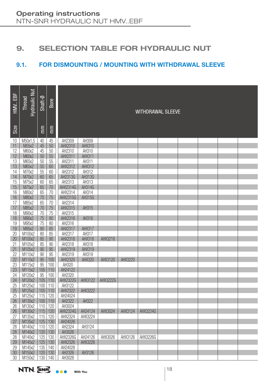## **9. SELECTION TABLE FOR HYDRAULIC NUT**

## **9.1. FOR DISMOUNTING / MOUNTING WITH WITHDRAWAL SLEEVE**

| HMV EBF     | Hydraulic Nut<br>Thread | Shaft- $\emptyset$          | Bore     |                    |                        |          |         | <b>WITHDRAWAL SLEEVE</b> |  |  |  |
|-------------|-------------------------|-----------------------------|----------|--------------------|------------------------|----------|---------|--------------------------|--|--|--|
| <b>Size</b> |                         | E                           | E        |                    |                        |          |         |                          |  |  |  |
| 10          | M50x1,5                 | 40                          | 45       | AH2309             | AH309                  |          |         |                          |  |  |  |
| 11          | M55x2                   | 45                          | 50       | AHX2310            | AHX310                 |          |         |                          |  |  |  |
| 12          | M60x2                   | 45                          | 50       | AH2310             | AH310                  |          |         |                          |  |  |  |
| 12          | M60x2<br>M65x2          | 50                          | 55       | AHX2311<br>AH2311  | <b>AHX311</b><br>AH311 |          |         |                          |  |  |  |
| 13<br>13    | M65x2                   | 50<br>55                    | 55<br>60 | AHX2312            | <b>AHX312</b>          |          |         |                          |  |  |  |
| 14          | M70x2                   | 55                          | 60       | AH2312             | AH312                  |          |         |                          |  |  |  |
| 14          | M70x2                   | 60                          | 65       | AH2313G            | AH313G                 |          |         |                          |  |  |  |
| 15          | M75x2                   | 60                          | 65       | AH2313             | AH313                  |          |         |                          |  |  |  |
| 15          | M75x2                   | 65                          | 70       | AHX2314G           | AH314G                 |          |         |                          |  |  |  |
| 16          | M80x2                   | 65                          | 70       | AHX2314            | AH314                  |          |         |                          |  |  |  |
| 16          | M80x2                   | 70                          | 75       | AHX2315G           | AH315G                 |          |         |                          |  |  |  |
| 17          | M85x2                   | 65                          | 70       | AH2314             |                        |          |         |                          |  |  |  |
| 17          | M85x2                   | 70                          | 75       | AHX2315            | AH315                  |          |         |                          |  |  |  |
| 18          | M90x2                   | 70                          | 75       | AH2315             |                        |          |         |                          |  |  |  |
| 18          | M90x2                   | 75                          | 80       | AHX2316            | AH316                  |          |         |                          |  |  |  |
| 19          | M95x2                   | 75                          | 80       | AH2316             |                        |          |         |                          |  |  |  |
| 19          | M95x2                   | 80                          | 85       | AHX2317            | <b>AHX317</b>          |          |         |                          |  |  |  |
| 20<br>20    | M100x2<br>M100x2        | 80<br>85                    | 85<br>90 | AH2317<br>AHX2318  | AH317<br><b>AHX318</b> | AHX3218  |         |                          |  |  |  |
| 21          | M105x2                  | 85                          | 90       | AH2318             | AH318                  |          |         |                          |  |  |  |
| 21          | M105x2                  | 90                          | 95       | AHX2319            | AHX319                 |          |         |                          |  |  |  |
| 22          | M110x2                  | 90                          | 95       | AH2319             | AH319                  |          |         |                          |  |  |  |
| 22          | M110x2                  | 95                          | 100      | AHX2320            | <b>AHX320</b>          | AHX3120  | AHX3220 |                          |  |  |  |
| 23          | M115x2                  | 95                          | 100      | AH320              |                        |          |         |                          |  |  |  |
| 23          | M115x2                  | 105                         | 110      | AH24122            |                        |          |         |                          |  |  |  |
| 24          | M120x2                  | 95                          | 100      | AH2320             |                        |          |         |                          |  |  |  |
| 24          | M120x2                  | 105 110                     |          | AHX2322G           | AHX3122                | AHX3222G |         |                          |  |  |  |
| 25          | M125x2                  | 100   110                   |          | AH3122             |                        |          |         |                          |  |  |  |
| 25          | M125x2                  | 105   110                   |          | AHX2322            | AHX3222                |          |         |                          |  |  |  |
| 25          | M125x2                  | 115 120                     |          | AH24024            |                        |          |         |                          |  |  |  |
| 26          | M130x2                  | 100 <sub>1</sub><br>110 120 | 110      | AH2322             | AH322                  |          |         |                          |  |  |  |
| 26<br>26    | M130x2<br>M130x2        | 115                         | 120      | AH3024<br>AHX2324G | AH24124                | AHX3024  | AHX3124 | AHX3224G                 |  |  |  |
| 27          | M135x2                  | 115 120                     |          | AHX2324            | AHX3224                |          |         |                          |  |  |  |
| 27          | M135x2                  | 125                         | 130      | AH24026            |                        |          |         |                          |  |  |  |
| 28          | M140x2                  | 110 120                     |          | AH2324             | AH3124                 |          |         |                          |  |  |  |
| 28          | M140x2                  | 120 130                     |          | AH3026             |                        |          |         |                          |  |  |  |
| 28          | M140x2                  | 125 130                     |          | AHX2326G           | AH24126                | AHX3026  | AHX3126 | AHX3226G                 |  |  |  |
| 29          | M145x2                  | 125                         | 130      | AHX2326            | AHX3226                |          |         |                          |  |  |  |
| 29          | M145x2                  | 135                         | 140      | AH24028            |                        |          |         |                          |  |  |  |
| 30          | M150x2                  | 120                         | 130      | AH2326             | AH3126                 |          |         |                          |  |  |  |
| 30          | M150x2                  | 130                         | 140      | AH3028             |                        |          |         |                          |  |  |  |

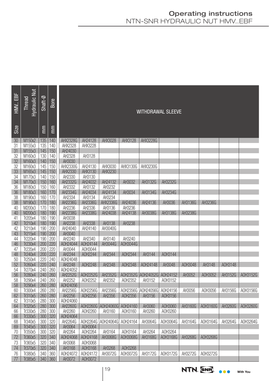| HMV EBF  | Hydraulic Nut<br>Thread | Shaft- $\emptyset$ | Bore             |                   | WITHDRAWAL SLEEVE   |                   |          |                              |                     |         |          |         |          |
|----------|-------------------------|--------------------|------------------|-------------------|---------------------|-------------------|----------|------------------------------|---------------------|---------|----------|---------|----------|
| Size     |                         | E                  | $\sum_{i=1}^{n}$ |                   |                     |                   |          |                              |                     |         |          |         |          |
| 30       | M150x2                  | 135                | 140              | AHX2328G          | AH24128             | AHX3028           | AHX3128  | AHX3228G                     |                     |         |          |         |          |
| 31       | M155x3                  | 135                | 140              | AHX2328           | AHX3228             |                   |          |                              |                     |         |          |         |          |
| 31       | M155x3                  | 145                | 150              | AH24030           |                     |                   |          |                              |                     |         |          |         |          |
| 32       | M160x3                  | 130                | 140              | AH2328            | AH3128              |                   |          |                              |                     |         |          |         |          |
| 32       | M160x3                  | 140                | 150              | AH3030            |                     |                   |          |                              |                     |         |          |         |          |
| 32       | M160x3                  | 145                | 150              | AHX2330G          | AH24130             | AHX3030           | AHX3130G | AHX3230G                     |                     |         |          |         |          |
| 33<br>34 | M165x3<br>M170x3        | 145<br>140         | 150<br>150       | AHX2330<br>AH2330 | AHX3130<br>AH3130   | AHX3230           |          |                              |                     |         |          |         |          |
| 34       | M170x3                  | 150                | 160              | AH2332G           | AH24032             | AH24132           | AH3032   | AH3132G                      | AH3232G             |         |          |         |          |
| 36       | M180x3                  | 150                | 160              | AH2332            | AH3132              | AH3232            |          |                              |                     |         |          |         |          |
| 36       | M180x3                  | 160                | 170              | AH2334G           | AH24034             | AH24134           | AH3034   | AH3134G                      | AH3234G             |         |          |         |          |
| 38       | M190x3                  | 160                | 170              | AH2334            | AH3134              | AH3234            |          |                              |                     |         |          |         |          |
| 38       | M190x3                  | 170                | 180              | AH2236G           | AH2336G             | AHX2336G          | AH24036  | AH24136                      | AH3036              | AH3136G | AH3236G  |         |          |
| 40       | M200x3                  | 170                | 180              | AH2236            | AH2336              | AH3136            | AH3236   |                              |                     |         |          |         |          |
| 40       | M200x3                  | 180                | 190              | AH2238G           | AH2338G             | AH24038           | AH24138  | AH3038G                      | AH3138G             | AH3238G |          |         |          |
| 41       | Tr205x4                 | 180                | 190              | AH3038            |                     |                   |          |                              |                     |         |          |         |          |
| 42       | Tr210x4                 | 180                | 190              | AH2238            | AH2338              | AH3138            | AH3238   |                              |                     |         |          |         |          |
| 42       | Tr210x4                 | 190                | 200              | AH24040           | AH24140             | AH3040G           |          |                              |                     |         |          |         |          |
| 43       | Tr215x4                 | 190                | 200              | AH3040            |                     |                   |          |                              |                     |         |          |         |          |
| 44       | Tr220x4                 | 190                | 200              | AH2240            | AH2340              | AH3140            | AH3240   |                              |                     |         |          |         |          |
| 46       | Tr230x4                 | 200                | 220              | A0H24044          | A0H24144            | AH3044G           | A0H3044G |                              |                     |         |          |         |          |
| 47       | Tr235x4                 | 200                | 220              | AH3044            | A0H3044             |                   |          |                              |                     |         |          |         |          |
| 48       | Tr240x4                 | 200                | 220              | AH2244            | A0H2244             | AH2344            | A0H2344  | AH3144                       | A0H3144             |         |          |         |          |
| 50       | Tr250x4                 | 220                | 240              | A0H24048          |                     |                   |          |                              |                     |         |          |         |          |
| 52       | Tr260x4                 | 220                | 240              | AH2248            | A0H2248             | AH2348            | A0H2348  | A0H24148                     | AH3048              | A0H3048 | AH3148   | A0H3148 |          |
| 54       | Tr270x4                 | 240                | 260              | A0H24052          |                     |                   |          |                              |                     | AH3052  |          |         | A0H3152G |
| 56<br>58 | Tr280x4<br>Tr290x4      | 240<br>240         | 260<br>260       | AH2252G<br>AH2252 | A0H2252G<br>A0H2252 | AH2352G<br>AH2352 | A0H2352  | AOH2352G AOH24052G<br>AH3152 | A0H24152<br>A0H3152 |         | A0H3052  | AH3152G |          |
| 58       | Tr290x4                 | 260                | 280              | A0H24056          |                     |                   |          |                              |                     |         |          |         |          |
| 60       | Tr300x4                 | 260                | 280              | AH2256G           | A0H2256G            | AH2356G           |          | AOH2356G AOH24056G           | A0H24156            | AH3056  | A0H3056  | AH3156G | A0H3156G |
| 62       | Tr310x5                 | 260                | 280              | AH2256            | A0H2256             | AH2356            | A0H2356  | AH3156                       | A0H3156             |         |          |         |          |
| 62       | Tr310x5                 | 280                | 300              | A0H24060          |                     |                   |          |                              |                     |         |          |         |          |
| 64       | Tr320x5                 | 280                | 300              | AH2260G           | A0H2260G            | A0H24060G         | A0H24160 | AH3060                       | A0H3060             | AH3160G | A0H3160G | AH3260G | A0H3260G |
| 66       | Tr330x5                 | 280                | 300              | AH2260            | A0H2260             | AH3160            | A0H3160  | AH3260                       | A0H3260             |         |          |         |          |
| 66       | Tr330x5                 | 300                | 320              | A0H24064          |                     |                   |          |                              |                     |         |          |         |          |
| 68       | Tr340x5                 | 300                | 320              | AH2264G           | A0H2264G            | A0H24064G         | A0H24164 | AH3064G                      | A0H3064G            | AH3164G | A0H3164G | AH3264G | A0H3264G |
| 69       | Tr345x5                 | 300                | 320              | AH3064            | A0H3064             |                   |          |                              |                     |         |          |         |          |
| 70       | Tr350x5                 | 300                | 320              | AH2264            | A0H2264             | AH3164            | A0H3164  | AH3264                       | A0H3264             |         |          |         |          |
| 72       | Tr360x5                 | 320                | 340              | A0H24068          | A0H24168            | AH3068G           | A0H3068G | AH3168G                      | A0H3168G            | AH3268G | A0H3268G |         |          |
| 73       | Tr365x5                 | 320                | 340              | AH3068            | A0H3068             |                   |          |                              |                     |         |          |         |          |
| 74       | Tr370x5                 | 320                | 340              | AH3168            | A0H3168             | AH3268            | A0H3268  |                              |                     |         |          |         |          |
| 76       | Tr380x5                 | 340                | 360              | A0H24072          | A0H24172            | AH3072G           | A0H3072G | AH3172G                      | A0H3172G            | AH3272G | A0H3272G |         |          |
| 77       | Tr385x5                 | 340                | 360              | AH3072            | A0H3072             |                   |          |                              |                     |         |          |         |          |

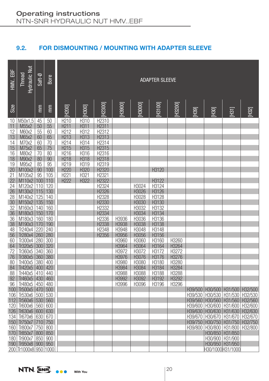### **9.2. FOR DISMOUNTING / MOUNTING WITH ADAPTER SLEEVE**

| HMV EBF                                                                                                                                                                                                                                                                                | Hydraulic Nut<br><b>Thread</b>                                                                                                                                                                                                                                                                                                                                                                                                                                                                                                                                                        | Saft- $\emptyset$                                                                                                                                                  | Bore                                                                                                                                                                                                     |                                                                                                                                                                                  |                                                                                                          |                                                                                                                                                                                                                                                                            |                                                                                                                   |                                                                                                                                                                         | <b>ADAPTER SLEEVE</b>                                                                                                                                                                     |                                                                               |                    |                                                                                                                                                                                                                                                                                                    |                         |                 |
|----------------------------------------------------------------------------------------------------------------------------------------------------------------------------------------------------------------------------------------------------------------------------------------|---------------------------------------------------------------------------------------------------------------------------------------------------------------------------------------------------------------------------------------------------------------------------------------------------------------------------------------------------------------------------------------------------------------------------------------------------------------------------------------------------------------------------------------------------------------------------------------|--------------------------------------------------------------------------------------------------------------------------------------------------------------------|----------------------------------------------------------------------------------------------------------------------------------------------------------------------------------------------------------|----------------------------------------------------------------------------------------------------------------------------------------------------------------------------------|----------------------------------------------------------------------------------------------------------|----------------------------------------------------------------------------------------------------------------------------------------------------------------------------------------------------------------------------------------------------------------------------|-------------------------------------------------------------------------------------------------------------------|-------------------------------------------------------------------------------------------------------------------------------------------------------------------------|-------------------------------------------------------------------------------------------------------------------------------------------------------------------------------------------|-------------------------------------------------------------------------------|--------------------|----------------------------------------------------------------------------------------------------------------------------------------------------------------------------------------------------------------------------------------------------------------------------------------------------|-------------------------|-----------------|
| Size                                                                                                                                                                                                                                                                                   |                                                                                                                                                                                                                                                                                                                                                                                                                                                                                                                                                                                       | E                                                                                                                                                                  | E                                                                                                                                                                                                        | <b>H200</b>                                                                                                                                                                      | <b>H300</b>                                                                                              | $[$ H2300]                                                                                                                                                                                                                                                                 | [H3900]                                                                                                           | [H3000]                                                                                                                                                                 | [H3100]                                                                                                                                                                                   | [H3200]                                                                       | <b>FI39</b>        | <b>ESSI</b>                                                                                                                                                                                                                                                                                        | <b>FST</b>              | H <sub>32</sub> |
| 10<br>11<br>12<br>13<br>14<br>15<br>16<br>18<br>19<br>20<br>21<br>$\overline{22}$<br>24<br>26<br>28<br>30 <sub>2</sub><br>32<br>36<br>36<br>38<br>48<br>56<br>60<br>64<br>72<br>76<br>80<br>84<br>88<br>92<br>96<br>100<br>106<br>112<br>120<br>126<br>134<br>150<br>160<br>170<br>180 | M50x1,5<br>M55x2<br><b>M60x2</b><br>M65x2<br>M70x2<br>M75x2<br><b>M80x2</b><br>M90x2<br>M95x2<br>M100x2<br>M105x2<br>M110x2 100<br>M120x2 110<br>M130x2   115   130<br>M140x2<br>M150x2 135 150<br>M160x3 140<br>M180x3 150 170<br>M180x3 160 180<br>M190x3 170 190<br>Tr240x4 220<br>Tr280x4 260 280<br>Tr300x4 280 300<br>Tr320x5 300 320<br>Tr360x5<br>Tr380x5<br>Tr400x5<br>Tr420x5<br>Tr440x5<br>Tr460x5 430<br>Tr480x5<br>Tr500x5 470<br>Tr530x6<br>Tr560x6 530<br>Tr600x6<br>Tr630x6 600 630<br>Tr670x6 630<br>Tr750x7<br>Tr800x7<br>Tr850x7<br>Tr900x7<br>190 Tr950x8 900 950 | 45<br>50<br>55<br>60<br>60<br>65<br>70<br>80<br>85<br>90<br>95<br>125<br>340<br>360<br>380<br> 400<br>410<br>450<br>500<br>560<br>710 750<br>750<br>800 850<br>850 | 50<br>55<br>60<br>65<br>70<br>75<br>80<br>90<br>95<br>100<br>105<br> 110<br>120<br>140<br> 160<br>240<br>360<br>380<br>400<br> 420<br>440<br>460<br>480<br>500<br>530<br>560<br>600<br>670<br>800<br>900 | H210<br>H <sub>211</sub><br>H212<br>H213<br>H214<br>H <sub>215</sub><br>H216<br>H <sub>218</sub><br>H <sub>219</sub><br>H <sub>220</sub><br>H <sub>221</sub><br>H <sub>222</sub> | H310<br>H311<br>H312<br>H313<br>H314<br>H315<br>H316<br>H318<br>H319<br>H320<br>H321<br>H <sub>322</sub> | H2310<br>H2311<br>H2312<br>H2313<br>H2314<br>H2315<br>H <sub>2316</sub><br>H2318<br>H2319<br>H2320<br>H2321<br>H <sub>2322</sub><br>H2324<br>H2326<br>H2328<br>H <sub>2330</sub><br>H <sub>2332</sub><br>H2334<br>H2336<br>H <sub>2338</sub><br>H <sub>2348</sub><br>H2356 | H3936<br>H3938<br>H3948<br>H3956<br>H3960<br>H3964<br>H3972<br>H3976<br>H3980<br>H3984<br>H3988<br>H3992<br>H3996 | H3024<br>H3026<br>H3028<br>H3030<br>H3032<br>H3034<br>H3036<br>H3038<br>H3048<br>H3056<br>H3060<br>H3064<br>H3072<br>H3076<br>H3080<br>H3084<br>H3088<br>H3092<br>H3096 | H3120<br>H3122<br>H3124<br>H3126<br>H3128<br>H3130<br>H3132<br>H3134<br>H3136<br>H3138<br>H3148<br>H3156<br>H3160<br>H3164<br>H3172<br>H3176<br>H3180<br>H3184<br>H3188<br>H3192<br>H3196 | H3260<br>H3264<br>H3272<br>H3276<br>H3280<br>H3284<br>H3288<br>H3292<br>H3296 | H39/500<br>H39/800 | H39/530 H30/530 H31/530 H32/530<br>H39/560 H30/560 H31/560 H32/560<br>H39/600 H30/600 H31/600 H32/600<br>H39/630 H30/630 H31/630 H32/630<br>H39/670 H30/670 H31/670 H32/670<br>H39/750 H30/750 H31/750 H32/750<br>H30/800 H31/800 H32/800<br>H30/850 H31/850<br>H30/900 H31/900<br>H30/950 H31/950 | H30/500 H31/500 H32/500 |                 |

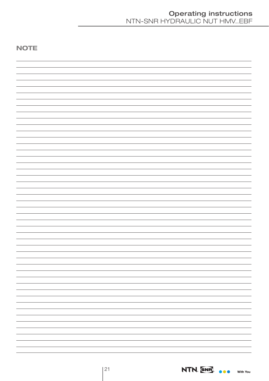**NOTE**